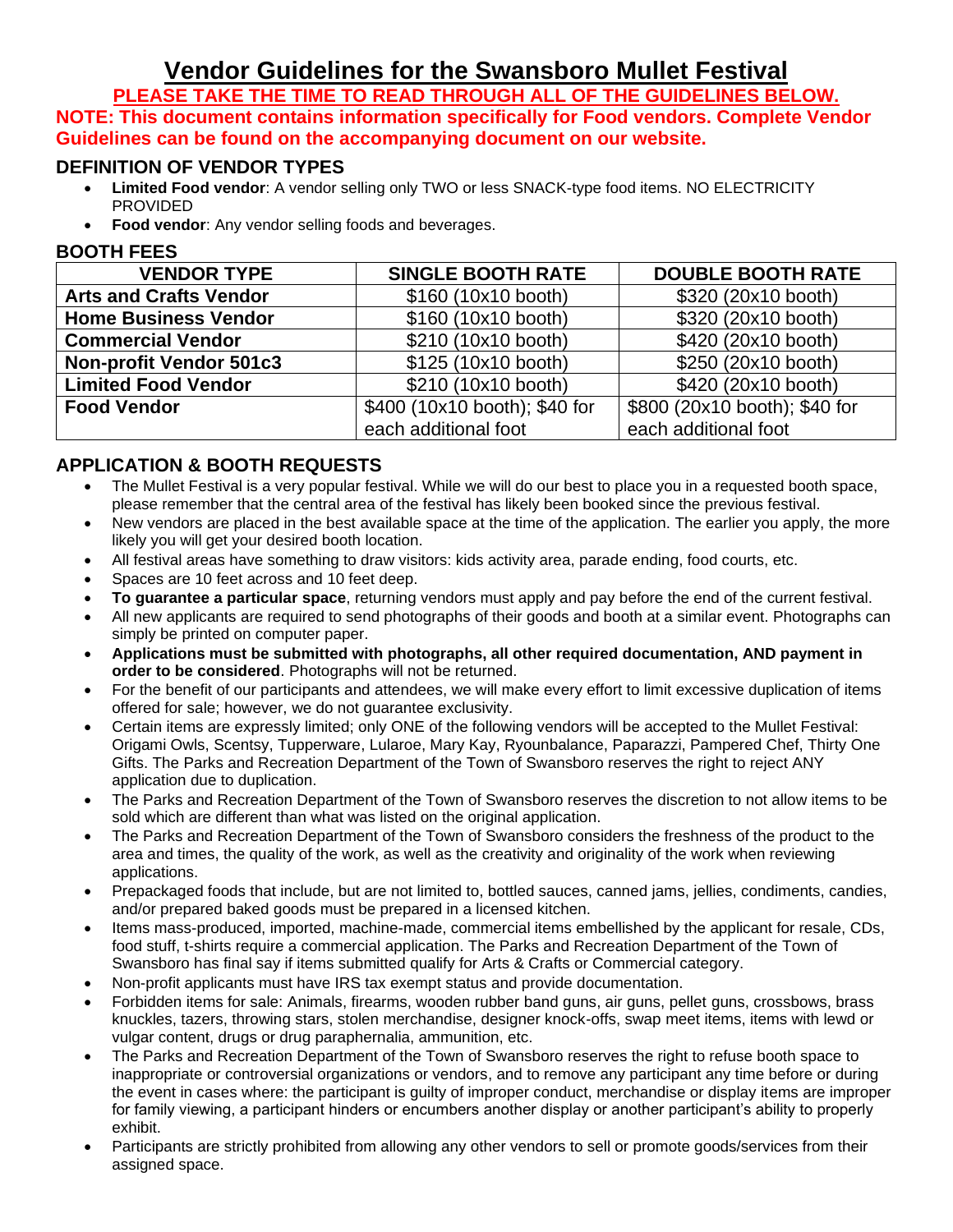# **Vendor Guidelines for the Swansboro Mullet Festival**

**PLEASE TAKE THE TIME TO READ THROUGH ALL OF THE GUIDELINES BELOW. NOTE: This document contains information specifically for Food vendors. Complete Vendor Guidelines can be found on the accompanying document on our website.**

#### **DEFINITION OF VENDOR TYPES**

- **Limited Food vendor**: A vendor selling only TWO or less SNACK-type food items. NO ELECTRICITY PROVIDED
- **Food vendor:** Any vendor selling foods and beverages.

#### **BOOTH FEES**

| <b>VENDOR TYPE</b>             | <b>SINGLE BOOTH RATE</b>      | <b>DOUBLE BOOTH RATE</b>      |  |
|--------------------------------|-------------------------------|-------------------------------|--|
| <b>Arts and Crafts Vendor</b>  | \$160 (10x10 booth)           | \$320 (20x10 booth)           |  |
| <b>Home Business Vendor</b>    | \$160 (10x10 booth)           | \$320 (20x10 booth)           |  |
| <b>Commercial Vendor</b>       | \$210 (10x10 booth)           | \$420 (20x10 booth)           |  |
| <b>Non-profit Vendor 501c3</b> | \$125 (10x10 booth)           | \$250 (20x10 booth)           |  |
| <b>Limited Food Vendor</b>     | \$210 (10x10 booth)           | \$420 (20x10 booth)           |  |
| <b>Food Vendor</b>             | \$400 (10x10 booth); \$40 for | \$800 (20x10 booth); \$40 for |  |
|                                | each additional foot          | each additional foot          |  |

### **APPLICATION & BOOTH REQUESTS**

- The Mullet Festival is a very popular festival. While we will do our best to place you in a requested booth space, please remember that the central area of the festival has likely been booked since the previous festival.
- New vendors are placed in the best available space at the time of the application. The earlier you apply, the more likely you will get your desired booth location.
- All festival areas have something to draw visitors: kids activity area, parade ending, food courts, etc.
- Spaces are 10 feet across and 10 feet deep.
- **To guarantee a particular space**, returning vendors must apply and pay before the end of the current festival.
- All new applicants are required to send photographs of their goods and booth at a similar event. Photographs can simply be printed on computer paper.
- **Applications must be submitted with photographs, all other required documentation, AND payment in order to be considered**. Photographs will not be returned.
- For the benefit of our participants and attendees, we will make every effort to limit excessive duplication of items offered for sale; however, we do not guarantee exclusivity.
- Certain items are expressly limited; only ONE of the following vendors will be accepted to the Mullet Festival: Origami Owls, Scentsy, Tupperware, Lularoe, Mary Kay, Ryounbalance, Paparazzi, Pampered Chef, Thirty One Gifts. The Parks and Recreation Department of the Town of Swansboro reserves the right to reject ANY application due to duplication.
- The Parks and Recreation Department of the Town of Swansboro reserves the discretion to not allow items to be sold which are different than what was listed on the original application.
- The Parks and Recreation Department of the Town of Swansboro considers the freshness of the product to the area and times, the quality of the work, as well as the creativity and originality of the work when reviewing applications.
- Prepackaged foods that include, but are not limited to, bottled sauces, canned jams, jellies, condiments, candies, and/or prepared baked goods must be prepared in a licensed kitchen.
- Items mass-produced, imported, machine-made, commercial items embellished by the applicant for resale, CDs, food stuff, t-shirts require a commercial application. The Parks and Recreation Department of the Town of Swansboro has final say if items submitted qualify for Arts & Crafts or Commercial category.
- Non-profit applicants must have IRS tax exempt status and provide documentation.
- Forbidden items for sale: Animals, firearms, wooden rubber band guns, air guns, pellet guns, crossbows, brass knuckles, tazers, throwing stars, stolen merchandise, designer knock-offs, swap meet items, items with lewd or vulgar content, drugs or drug paraphernalia, ammunition, etc.
- The Parks and Recreation Department of the Town of Swansboro reserves the right to refuse booth space to inappropriate or controversial organizations or vendors, and to remove any participant any time before or during the event in cases where: the participant is guilty of improper conduct, merchandise or display items are improper for family viewing, a participant hinders or encumbers another display or another participant's ability to properly exhibit.
- Participants are strictly prohibited from allowing any other vendors to sell or promote goods/services from their assigned space.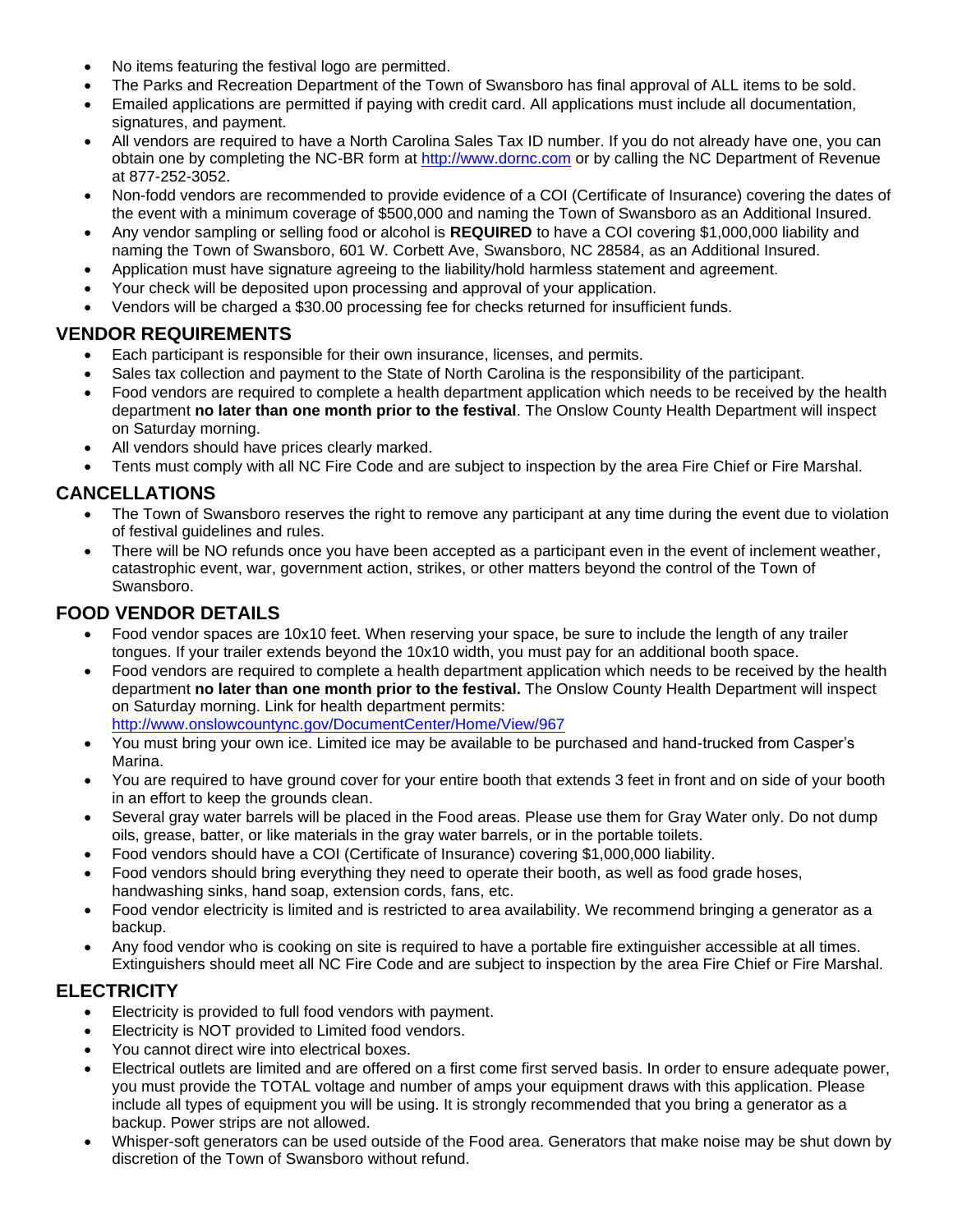- No items featuring the festival logo are permitted.
- The Parks and Recreation Department of the Town of Swansboro has final approval of ALL items to be sold.
- Emailed applications are permitted if paying with credit card. All applications must include all documentation, signatures, and payment.
- All vendors are required to have a North Carolina Sales Tax ID number. If you do not already have one, you can obtain one by completing the NC-BR form at [http://www.dornc.com](http://www.dornc.com/) or by calling the NC Department of Revenue at 877-252-3052.
- Non-fodd vendors are recommended to provide evidence of a COI (Certificate of Insurance) covering the dates of the event with a minimum coverage of \$500,000 and naming the Town of Swansboro as an Additional Insured.
- Any vendor sampling or selling food or alcohol is **REQUIRED** to have a COI covering \$1,000,000 liability and naming the Town of Swansboro, 601 W. Corbett Ave, Swansboro, NC 28584, as an Additional Insured.
- Application must have signature agreeing to the liability/hold harmless statement and agreement.
- Your check will be deposited upon processing and approval of your application.
- Vendors will be charged a \$30.00 processing fee for checks returned for insufficient funds.

#### **VENDOR REQUIREMENTS**

- Each participant is responsible for their own insurance, licenses, and permits.
- Sales tax collection and payment to the State of North Carolina is the responsibility of the participant.
- Food vendors are required to complete a health department application which needs to be received by the health department **no later than one month prior to the festival**. The Onslow County Health Department will inspect on Saturday morning.
- All vendors should have prices clearly marked.
- Tents must comply with all NC Fire Code and are subject to inspection by the area Fire Chief or Fire Marshal.

### **CANCELLATIONS**

- The Town of Swansboro reserves the right to remove any participant at any time during the event due to violation of festival guidelines and rules.
- There will be NO refunds once you have been accepted as a participant even in the event of inclement weather, catastrophic event, war, government action, strikes, or other matters beyond the control of the Town of Swansboro.

#### **FOOD VENDOR DETAILS**

- Food vendor spaces are 10x10 feet. When reserving your space, be sure to include the length of any trailer tongues. If your trailer extends beyond the 10x10 width, you must pay for an additional booth space.
- Food vendors are required to complete a health department application which needs to be received by the health department **no later than one month prior to the festival.** The Onslow County Health Department will inspect on Saturday morning. Link for health department permits: <http://www.onslowcountync.gov/DocumentCenter/Home/View/967>
- You must bring your own ice. Limited ice may be available to be purchased and hand-trucked from Casper's Marina.
- You are required to have ground cover for your entire booth that extends 3 feet in front and on side of your booth in an effort to keep the grounds clean.
- Several gray water barrels will be placed in the Food areas. Please use them for Gray Water only. Do not dump oils, grease, batter, or like materials in the gray water barrels, or in the portable toilets.
- Food vendors should have a COI (Certificate of Insurance) covering \$1,000,000 liability.
- Food vendors should bring everything they need to operate their booth, as well as food grade hoses, handwashing sinks, hand soap, extension cords, fans, etc.
- Food vendor electricity is limited and is restricted to area availability. We recommend bringing a generator as a backup.
- Any food vendor who is cooking on site is required to have a portable fire extinguisher accessible at all times. Extinguishers should meet all NC Fire Code and are subject to inspection by the area Fire Chief or Fire Marshal.

# **ELECTRICITY**

- Electricity is provided to full food vendors with payment.
- Electricity is NOT provided to Limited food vendors.
- You cannot direct wire into electrical boxes.
- Electrical outlets are limited and are offered on a first come first served basis. In order to ensure adequate power, you must provide the TOTAL voltage and number of amps your equipment draws with this application. Please include all types of equipment you will be using. It is strongly recommended that you bring a generator as a backup. Power strips are not allowed.
- Whisper-soft generators can be used outside of the Food area. Generators that make noise may be shut down by discretion of the Town of Swansboro without refund.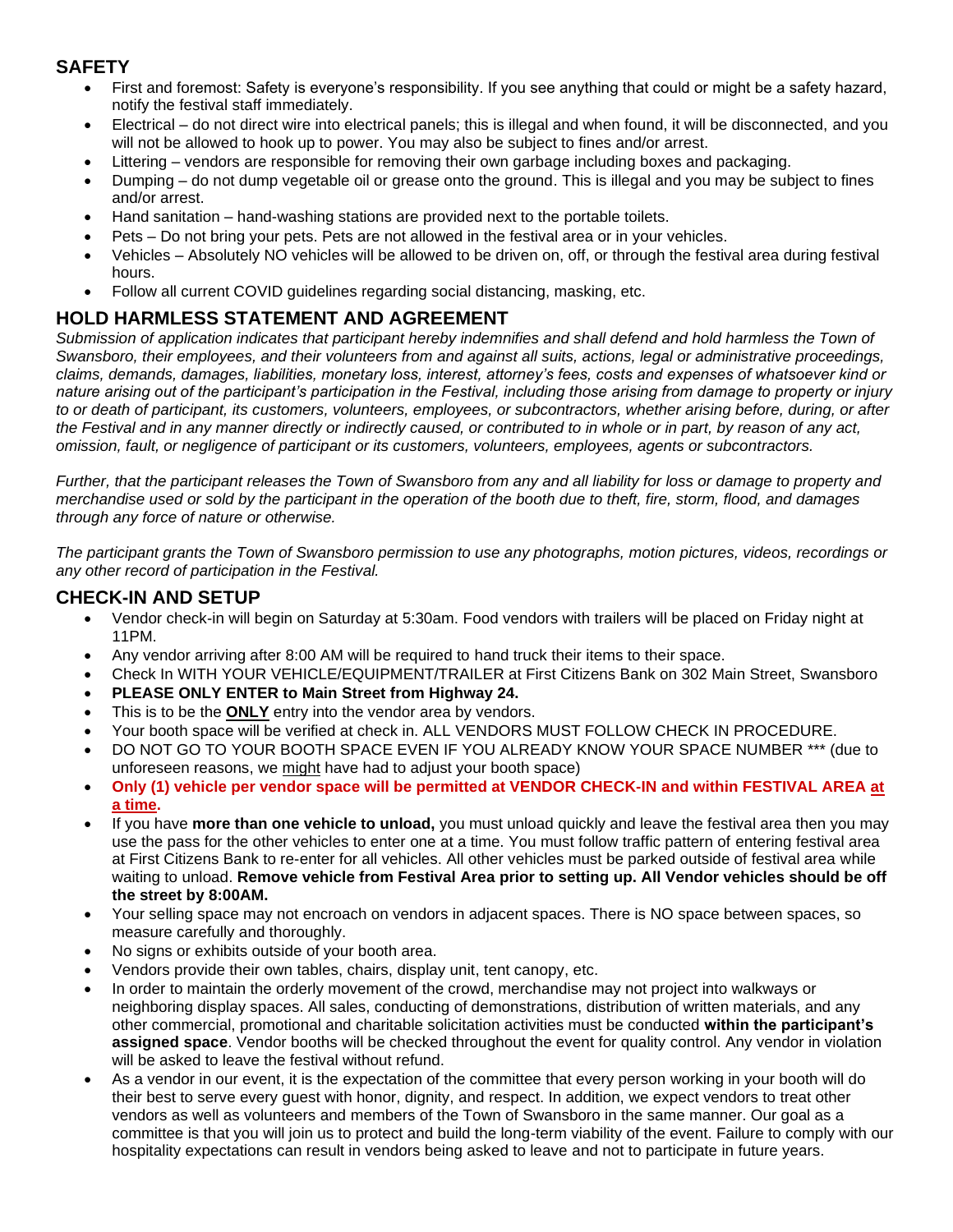# **SAFETY**

- First and foremost: Safety is everyone's responsibility. If you see anything that could or might be a safety hazard, notify the festival staff immediately.
- Electrical do not direct wire into electrical panels; this is illegal and when found, it will be disconnected, and you will not be allowed to hook up to power. You may also be subject to fines and/or arrest.
- Littering vendors are responsible for removing their own garbage including boxes and packaging.
- Dumping do not dump vegetable oil or grease onto the ground. This is illegal and you may be subject to fines and/or arrest.
- Hand sanitation hand-washing stations are provided next to the portable toilets.
- Pets Do not bring your pets. Pets are not allowed in the festival area or in your vehicles.
- Vehicles Absolutely NO vehicles will be allowed to be driven on, off, or through the festival area during festival hours.
- Follow all current COVID guidelines regarding social distancing, masking, etc.

# **HOLD HARMLESS STATEMENT AND AGREEMENT**

*Submission of application indicates that participant hereby indemnifies and shall defend and hold harmless the Town of Swansboro, their employees, and their volunteers from and against all suits, actions, legal or administrative proceedings, claims, demands, damages, liabilities, monetary loss, interest, attorney's fees, costs and expenses of whatsoever kind or nature arising out of the participant's participation in the Festival, including those arising from damage to property or injury to or death of participant, its customers, volunteers, employees, or subcontractors, whether arising before, during, or after the Festival and in any manner directly or indirectly caused, or contributed to in whole or in part, by reason of any act, omission, fault, or negligence of participant or its customers, volunteers, employees, agents or subcontractors.*

*Further, that the participant releases the Town of Swansboro from any and all liability for loss or damage to property and merchandise used or sold by the participant in the operation of the booth due to theft, fire, storm, flood, and damages through any force of nature or otherwise.*

*The participant grants the Town of Swansboro permission to use any photographs, motion pictures, videos, recordings or any other record of participation in the Festival.*

#### **CHECK-IN AND SETUP**

- Vendor check-in will begin on Saturday at 5:30am. Food vendors with trailers will be placed on Friday night at 11PM.
- Any vendor arriving after 8:00 AM will be required to hand truck their items to their space.
- Check In WITH YOUR VEHICLE/EQUIPMENT/TRAILER at First Citizens Bank on 302 Main Street, Swansboro
- **PLEASE ONLY ENTER to Main Street from Highway 24.**
- This is to be the **ONLY** entry into the vendor area by vendors.
- Your booth space will be verified at check in. ALL VENDORS MUST FOLLOW CHECK IN PROCEDURE.
- DO NOT GO TO YOUR BOOTH SPACE EVEN IF YOU ALREADY KNOW YOUR SPACE NUMBER \*\*\* (due to unforeseen reasons, we might have had to adjust your booth space)
- **Only (1) vehicle per vendor space will be permitted at VENDOR CHECK-IN and within FESTIVAL AREA at a time.**
- If you have **more than one vehicle to unload,** you must unload quickly and leave the festival area then you may use the pass for the other vehicles to enter one at a time. You must follow traffic pattern of entering festival area at First Citizens Bank to re-enter for all vehicles. All other vehicles must be parked outside of festival area while waiting to unload. **Remove vehicle from Festival Area prior to setting up. All Vendor vehicles should be off the street by 8:00AM.**
- Your selling space may not encroach on vendors in adjacent spaces. There is NO space between spaces, so measure carefully and thoroughly.
- No signs or exhibits outside of your booth area.
- Vendors provide their own tables, chairs, display unit, tent canopy, etc.
- In order to maintain the orderly movement of the crowd, merchandise may not project into walkways or neighboring display spaces. All sales, conducting of demonstrations, distribution of written materials, and any other commercial, promotional and charitable solicitation activities must be conducted **within the participant's assigned space**. Vendor booths will be checked throughout the event for quality control. Any vendor in violation will be asked to leave the festival without refund.
- As a vendor in our event, it is the expectation of the committee that every person working in your booth will do their best to serve every guest with honor, dignity, and respect. In addition, we expect vendors to treat other vendors as well as volunteers and members of the Town of Swansboro in the same manner. Our goal as a committee is that you will join us to protect and build the long-term viability of the event. Failure to comply with our hospitality expectations can result in vendors being asked to leave and not to participate in future years.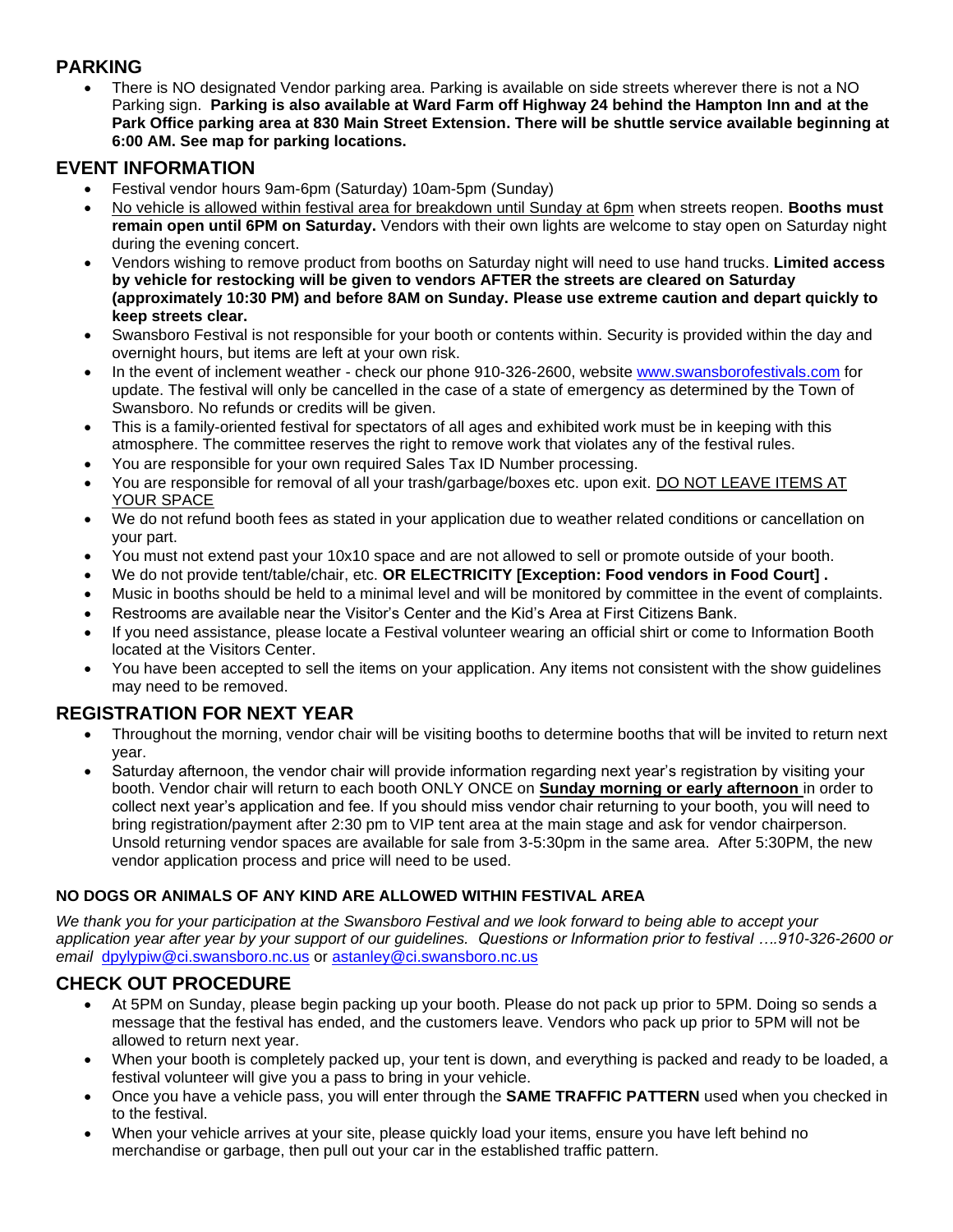# **PARKING**

• There is NO designated Vendor parking area. Parking is available on side streets wherever there is not a NO Parking sign. **Parking is also available at Ward Farm off Highway 24 behind the Hampton Inn and at the Park Office parking area at 830 Main Street Extension. There will be shuttle service available beginning at 6:00 AM. See map for parking locations.**

### **EVENT INFORMATION**

- Festival vendor hours 9am-6pm (Saturday) 10am-5pm (Sunday)
- No vehicle is allowed within festival area for breakdown until Sunday at 6pm when streets reopen. **Booths must remain open until 6PM on Saturday.** Vendors with their own lights are welcome to stay open on Saturday night during the evening concert.
- Vendors wishing to remove product from booths on Saturday night will need to use hand trucks. **Limited access by vehicle for restocking will be given to vendors AFTER the streets are cleared on Saturday (approximately 10:30 PM) and before 8AM on Sunday. Please use extreme caution and depart quickly to keep streets clear.**
- Swansboro Festival is not responsible for your booth or contents within. Security is provided within the day and overnight hours, but items are left at your own risk.
- In the event of inclement weather check our phone 910-326-2600, website [www.swansborofestivals.com](http://www.swansborofestivals.com/) for update. The festival will only be cancelled in the case of a state of emergency as determined by the Town of Swansboro. No refunds or credits will be given.
- This is a family-oriented festival for spectators of all ages and exhibited work must be in keeping with this atmosphere. The committee reserves the right to remove work that violates any of the festival rules.
- You are responsible for your own required Sales Tax ID Number processing.
- You are responsible for removal of all your trash/garbage/boxes etc. upon exit. DO NOT LEAVE ITEMS AT YOUR SPACE
- We do not refund booth fees as stated in your application due to weather related conditions or cancellation on your part.
- You must not extend past your 10x10 space and are not allowed to sell or promote outside of your booth.
- We do not provide tent/table/chair, etc. **OR ELECTRICITY [Exception: Food vendors in Food Court] .**
- Music in booths should be held to a minimal level and will be monitored by committee in the event of complaints.
- Restrooms are available near the Visitor's Center and the Kid's Area at First Citizens Bank.
- If you need assistance, please locate a Festival volunteer wearing an official shirt or come to Information Booth located at the Visitors Center.
- You have been accepted to sell the items on your application. Any items not consistent with the show guidelines may need to be removed.

# **REGISTRATION FOR NEXT YEAR**

- Throughout the morning, vendor chair will be visiting booths to determine booths that will be invited to return next year.
- Saturday afternoon, the vendor chair will provide information regarding next year's registration by visiting your booth. Vendor chair will return to each booth ONLY ONCE on **Sunday morning or early afternoon** in order to collect next year's application and fee. If you should miss vendor chair returning to your booth, you will need to bring registration/payment after 2:30 pm to VIP tent area at the main stage and ask for vendor chairperson. Unsold returning vendor spaces are available for sale from 3-5:30pm in the same area. After 5:30PM, the new vendor application process and price will need to be used.

#### **NO DOGS OR ANIMALS OF ANY KIND ARE ALLOWED WITHIN FESTIVAL AREA**

*We thank you for your participation at the Swansboro Festival and we look forward to being able to accept your application year after year by your support of our guidelines.**Questions or Information prior to festival ….910-326-2600 or email* [dpylypiw@ci.swansboro.nc.us](mailto:dpylypiw@ci.swansboro.nc.us) or [astanley@ci.swansboro.nc.us](mailto:astanley@ci.swansboro.nc.us)

# **CHECK OUT PROCEDURE**

- At 5PM on Sunday, please begin packing up your booth. Please do not pack up prior to 5PM. Doing so sends a message that the festival has ended, and the customers leave. Vendors who pack up prior to 5PM will not be allowed to return next year.
- When your booth is completely packed up, your tent is down, and everything is packed and ready to be loaded, a festival volunteer will give you a pass to bring in your vehicle.
- Once you have a vehicle pass, you will enter through the **SAME TRAFFIC PATTERN** used when you checked in to the festival.
- When your vehicle arrives at your site, please quickly load your items, ensure you have left behind no merchandise or garbage, then pull out your car in the established traffic pattern.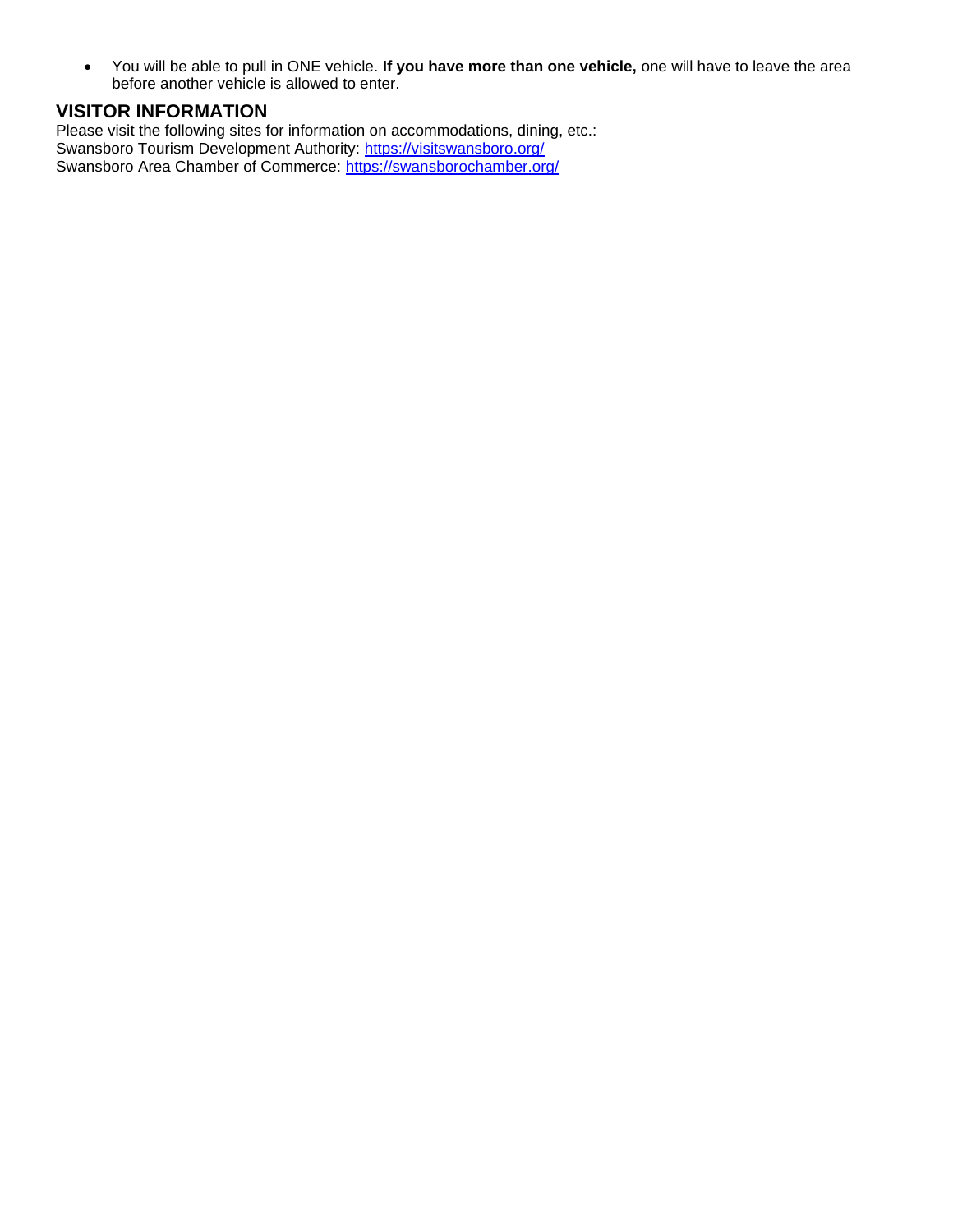• You will be able to pull in ONE vehicle. **If you have more than one vehicle,** one will have to leave the area before another vehicle is allowed to enter.

#### **VISITOR INFORMATION**

Please visit the following sites for information on accommodations, dining, etc.: Swansboro Tourism Development Authority: https://visitswansboro.org/ Swansboro Area Chamber of Commerce:<https://swansborochamber.org/>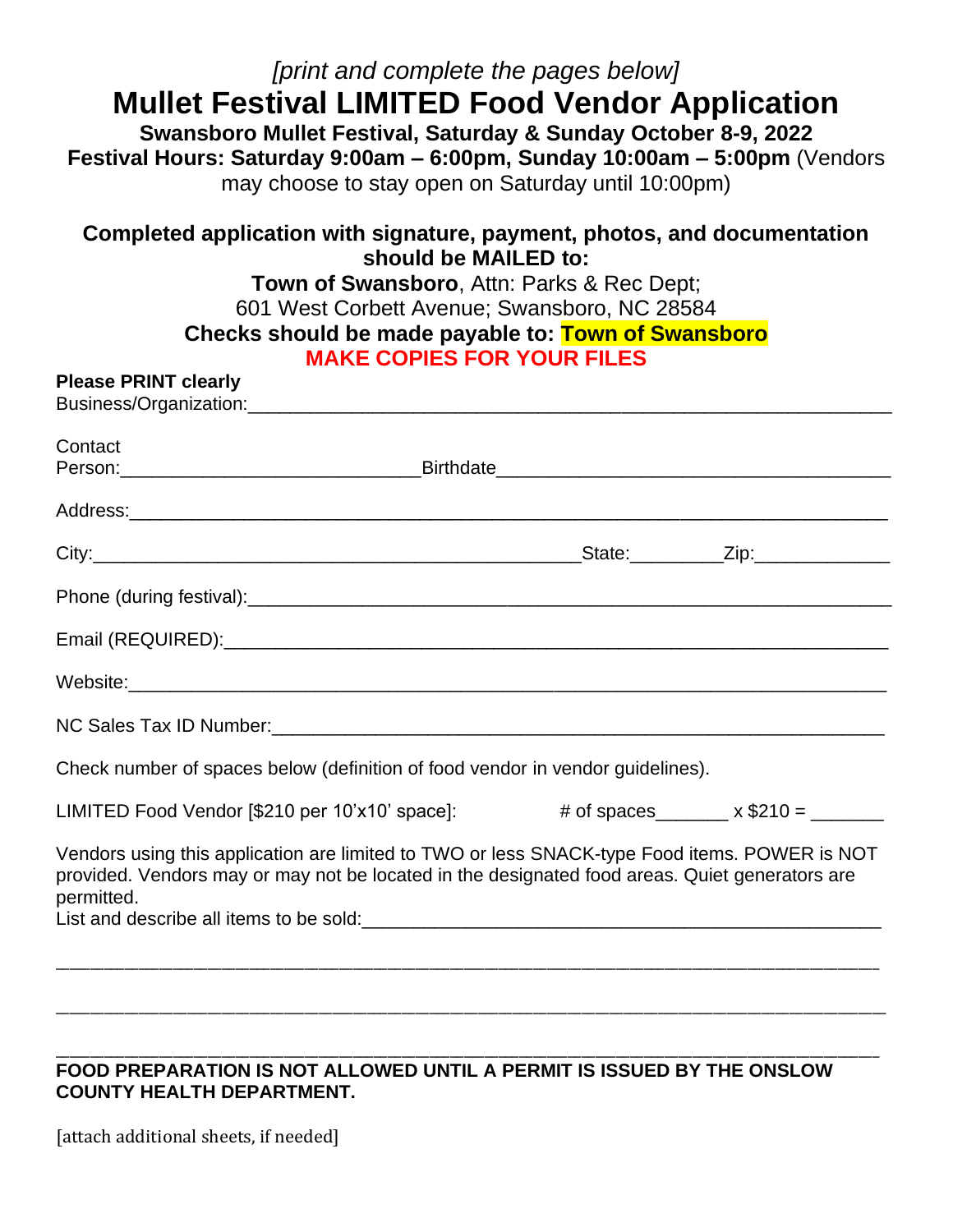| [print and complete the pages below]<br><b>Mullet Festival LIMITED Food Vendor Application</b><br>Swansboro Mullet Festival, Saturday & Sunday October 8-9, 2022<br>Festival Hours: Saturday 9:00am - 6:00pm, Sunday 10:00am - 5:00pm (Vendors<br>may choose to stay open on Saturday until 10:00pm)<br>Completed application with signature, payment, photos, and documentation<br>should be MAILED to: |  |  |  |  |                                                                                                                                                              |
|----------------------------------------------------------------------------------------------------------------------------------------------------------------------------------------------------------------------------------------------------------------------------------------------------------------------------------------------------------------------------------------------------------|--|--|--|--|--------------------------------------------------------------------------------------------------------------------------------------------------------------|
|                                                                                                                                                                                                                                                                                                                                                                                                          |  |  |  |  | <b>Town of Swansboro, Attn: Parks &amp; Rec Dept;</b><br>601 West Corbett Avenue; Swansboro, NC 28584<br>Checks should be made payable to: Town of Swansboro |
| <b>MAKE COPIES FOR YOUR FILES</b><br><b>Please PRINT clearly</b>                                                                                                                                                                                                                                                                                                                                         |  |  |  |  |                                                                                                                                                              |
|                                                                                                                                                                                                                                                                                                                                                                                                          |  |  |  |  |                                                                                                                                                              |
| Contact                                                                                                                                                                                                                                                                                                                                                                                                  |  |  |  |  |                                                                                                                                                              |
|                                                                                                                                                                                                                                                                                                                                                                                                          |  |  |  |  |                                                                                                                                                              |
|                                                                                                                                                                                                                                                                                                                                                                                                          |  |  |  |  |                                                                                                                                                              |
|                                                                                                                                                                                                                                                                                                                                                                                                          |  |  |  |  |                                                                                                                                                              |
|                                                                                                                                                                                                                                                                                                                                                                                                          |  |  |  |  |                                                                                                                                                              |
|                                                                                                                                                                                                                                                                                                                                                                                                          |  |  |  |  |                                                                                                                                                              |
|                                                                                                                                                                                                                                                                                                                                                                                                          |  |  |  |  |                                                                                                                                                              |
| Check number of spaces below (definition of food vendor in vendor guidelines).                                                                                                                                                                                                                                                                                                                           |  |  |  |  |                                                                                                                                                              |
| LIMITED Food Vendor [\$210 per 10'x10' space]: $\qquad #$ of spaces _______ x \$210 = ______                                                                                                                                                                                                                                                                                                             |  |  |  |  |                                                                                                                                                              |
| Vendors using this application are limited to TWO or less SNACK-type Food items. POWER is NOT<br>provided. Vendors may or may not be located in the designated food areas. Quiet generators are<br>permitted.<br>List and describe all items to be sold:<br><u>List and describe all items to be sold:</u>                                                                                               |  |  |  |  |                                                                                                                                                              |
|                                                                                                                                                                                                                                                                                                                                                                                                          |  |  |  |  |                                                                                                                                                              |

#### \_\_\_\_\_\_\_\_\_\_\_\_\_\_\_\_\_\_\_\_\_\_\_\_\_\_\_\_\_\_\_\_\_\_\_\_\_\_\_\_\_\_\_\_\_\_\_\_\_\_\_\_\_\_\_\_\_\_\_\_\_\_\_\_\_\_\_\_\_\_\_\_\_\_\_\_\_\_\_\_\_\_\_\_\_\_\_\_\_\_\_\_\_\_\_\_\_\_\_\_\_\_\_\_\_\_\_\_\_\_\_\_\_\_\_\_\_\_\_ **FOOD PREPARATION IS NOT ALLOWED UNTIL A PERMIT IS ISSUED BY THE ONSLOW COUNTY HEALTH DEPARTMENT.**

[attach additional sheets, if needed]